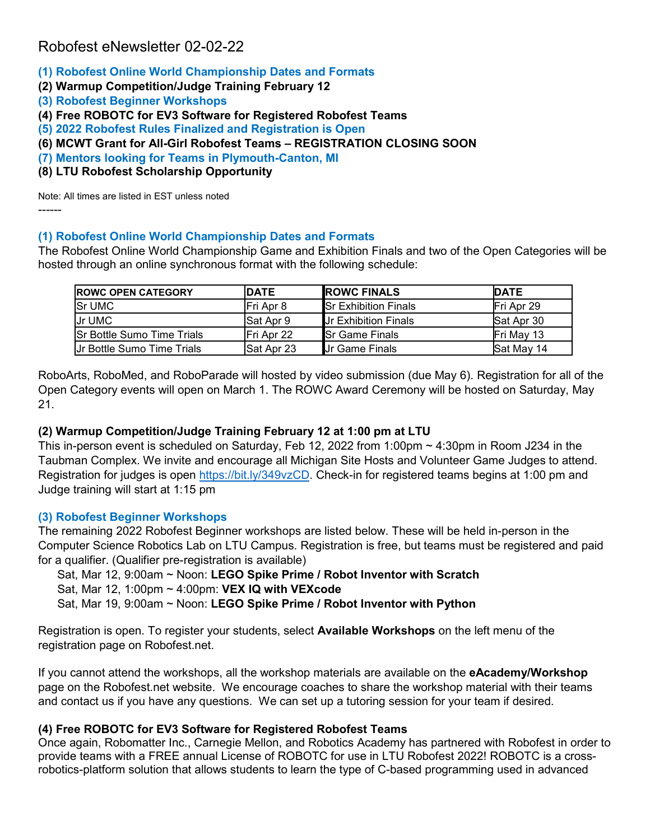- **(1) Robofest Online World Championship Dates and Formats**
- **(2) Warmup Competition/Judge Training February 12**
- **(3) Robofest Beginner Workshops**
- **(4) Free ROBOTC for EV3 Software for Registered Robofest Teams**
- **(5) 2022 Robofest Rules Finalized and Registration is Open**
- **(6) MCWT Grant for All-Girl Robofest Teams – REGISTRATION CLOSING SOON**
- **(7) Mentors looking for Teams in Plymouth-Canton, MI**
- **(8) LTU Robofest Scholarship Opportunity**

Note: All times are listed in EST unless noted ------

## **(1) Robofest Online World Championship Dates and Formats**

The Robofest Online World Championship Game and Exhibition Finals and two of the Open Categories will be hosted through an online synchronous format with the following schedule:

| <b>ROWC OPEN CATEGORY</b>         | <b>IDATE</b>      | <b>IROWC FINALS</b>          | <b>IDATE</b>       |
|-----------------------------------|-------------------|------------------------------|--------------------|
| <b>Sr UMC</b>                     | IFri Apr 8        | <b>S</b> r Exhibition Finals | <b>IFri Apr 29</b> |
| Jr UMC                            | <b>Sat Apr 9</b>  | <b>Jr Exhibition Finals</b>  | Sat Apr 30         |
| <b>Sr Bottle Sumo Time Trials</b> | IFri Apr 22       | <b>Sr Game Finals</b>        | <b>IFri May 13</b> |
| Ur Bottle Sumo Time Trials        | <b>Sat Apr 23</b> | <b>J</b> r Game Finals       | Sat May 14         |

RoboArts, RoboMed, and RoboParade will hosted by video submission (due May 6). Registration for all of the Open Category events will open on March 1. The ROWC Award Ceremony will be hosted on Saturday, May 21.

## **(2) Warmup Competition/Judge Training February 12 at 1:00 pm at LTU**

This in-person event is scheduled on Saturday, Feb 12, 2022 from 1:00pm ~ 4:30pm in Room J234 in the Taubman Complex. We invite and encourage all Michigan Site Hosts and Volunteer Game Judges to attend. Registration for judges is open [https://bit.ly/349vzCD.](https://bit.ly/349vzCD) Check-in for registered teams begins at 1:00 pm and Judge training will start at 1:15 pm

## **(3) Robofest Beginner Workshops**

The remaining 2022 Robofest Beginner workshops are listed below. These will be held in-person in the Computer Science Robotics Lab on LTU Campus. Registration is free, but teams must be registered and paid for a qualifier. (Qualifier pre-registration is available)

Sat, Mar 12, 9:00am ~ Noon: **LEGO Spike Prime / Robot Inventor with Scratch**

Sat, Mar 12, 1:00pm ~ 4:00pm: **VEX IQ with VEXcode**

Sat, Mar 19, 9:00am ~ Noon: **LEGO Spike Prime / Robot Inventor with Python**

Registration is open. To register your students, select **Available Workshops** on the left menu of the registration page on Robofest.net.

If you cannot attend the workshops, all the workshop materials are available on the **eAcademy/Workshop** page on the Robofest.net website. We encourage coaches to share the workshop material with their teams and contact us if you have any questions. We can set up a tutoring session for your team if desired.

# **(4) Free ROBOTC for EV3 Software for Registered Robofest Teams**

Once again, Robomatter Inc., Carnegie Mellon, and Robotics Academy has partnered with Robofest in order to provide teams with a FREE annual License of ROBOTC for use in LTU Robofest 2022! ROBOTC is a crossrobotics-platform solution that allows students to learn the type of C-based programming used in advanced